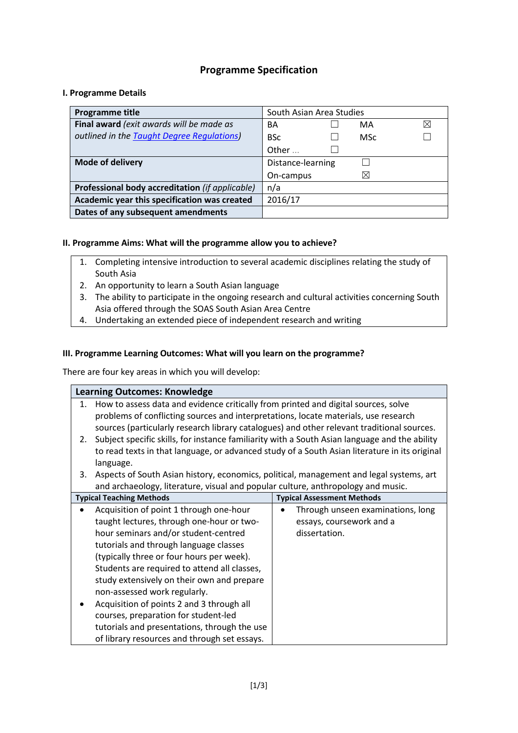## **Programme Specification**

## **I. Programme Details**

| <b>Programme title</b>                          | South Asian Area Studies |            |  |
|-------------------------------------------------|--------------------------|------------|--|
| Final award (exit awards will be made as        | BA<br>MA                 | ⊠          |  |
| outlined in the Taught Degree Regulations)      | <b>BSc</b>               | <b>MSc</b> |  |
|                                                 | Other                    |            |  |
| <b>Mode of delivery</b>                         | Distance-learning        |            |  |
|                                                 | ⊠<br>On-campus           |            |  |
| Professional body accreditation (if applicable) | n/a                      |            |  |
| Academic year this specification was created    | 2016/17                  |            |  |
| Dates of any subsequent amendments              |                          |            |  |

## **II. Programme Aims: What will the programme allow you to achieve?**

- 1. Completing intensive introduction to several academic disciplines relating the study of South Asia
- 2. An opportunity to learn a South Asian language
- 3. The ability to participate in the ongoing research and cultural activities concerning South Asia offered through the SOAS South Asian Area Centre
- 4. Undertaking an extended piece of independent research and writing

## **III. Programme Learning Outcomes: What will you learn on the programme?**

There are four key areas in which you will develop:

## **Learning Outcomes: Knowledge**

- 1. How to assess data and evidence critically from printed and digital sources, solve problems of conflicting sources and interpretations, locate materials, use research sources (particularly research library catalogues) and other relevant traditional sources.
- 2. Subject specific skills, for instance familiarity with a South Asian language and the ability to read texts in that language, or advanced study of a South Asian literature in its original language.
- 3. Aspects of South Asian history, economics, political, management and legal systems, art and archaeology, literature, visual and popular culture, anthropology and music.

| <b>Typical Teaching Methods</b>                                                                                                                                                                                                                                                                                                                                | <b>Typical Assessment Methods</b>                                              |
|----------------------------------------------------------------------------------------------------------------------------------------------------------------------------------------------------------------------------------------------------------------------------------------------------------------------------------------------------------------|--------------------------------------------------------------------------------|
| Acquisition of point 1 through one-hour<br>$\bullet$<br>taught lectures, through one-hour or two-<br>hour seminars and/or student-centred<br>tutorials and through language classes<br>(typically three or four hours per week).<br>Students are required to attend all classes,<br>study extensively on their own and prepare<br>non-assessed work regularly. | Through unseen examinations, long<br>essays, coursework and a<br>dissertation. |
| Acquisition of points 2 and 3 through all<br>courses, preparation for student-led<br>tutorials and presentations, through the use<br>of library resources and through set essays.                                                                                                                                                                              |                                                                                |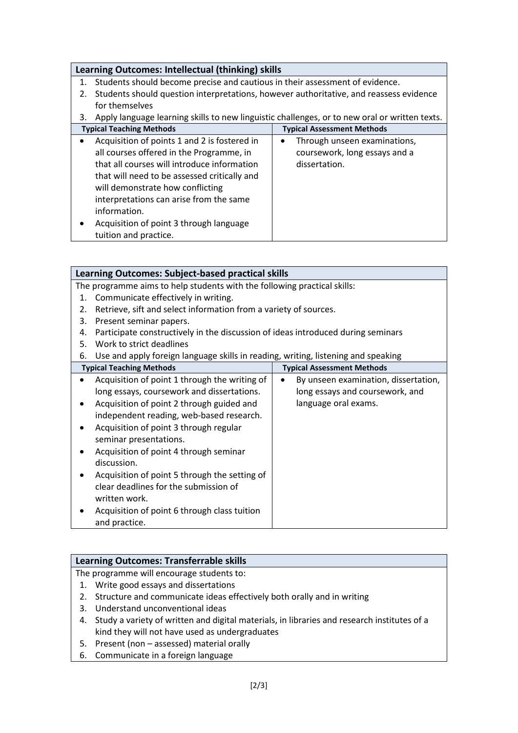## **Learning Outcomes: Intellectual (thinking) skills**

- 1. Students should become precise and cautious in their assessment of evidence.
- 2. Students should question interpretations, however authoritative, and reassess evidence for themselves

| <b>Typical Teaching Methods</b>                                                                                                                                                                                                                                                                                                                                                      | <b>Typical Assessment Methods</b>                                                           |
|--------------------------------------------------------------------------------------------------------------------------------------------------------------------------------------------------------------------------------------------------------------------------------------------------------------------------------------------------------------------------------------|---------------------------------------------------------------------------------------------|
| Acquisition of points 1 and 2 is fostered in<br>$\bullet$<br>all courses offered in the Programme, in<br>that all courses will introduce information<br>that will need to be assessed critically and<br>will demonstrate how conflicting<br>interpretations can arise from the same<br>information.<br>Acquisition of point 3 through language<br>$\bullet$<br>tuition and practice. | Through unseen examinations,<br>$\bullet$<br>coursework, long essays and a<br>dissertation. |

|    | <b>Learning Outcomes: Subject-based practical skills</b>                          |  |                                      |  |  |  |
|----|-----------------------------------------------------------------------------------|--|--------------------------------------|--|--|--|
|    | The programme aims to help students with the following practical skills:          |  |                                      |  |  |  |
| 1. | Communicate effectively in writing.                                               |  |                                      |  |  |  |
| 2. | Retrieve, sift and select information from a variety of sources.                  |  |                                      |  |  |  |
| 3. | Present seminar papers.                                                           |  |                                      |  |  |  |
| 4. | Participate constructively in the discussion of ideas introduced during seminars  |  |                                      |  |  |  |
| 5. | Work to strict deadlines                                                          |  |                                      |  |  |  |
| 6. | Use and apply foreign language skills in reading, writing, listening and speaking |  |                                      |  |  |  |
|    | <b>Typical Teaching Methods</b>                                                   |  | <b>Typical Assessment Methods</b>    |  |  |  |
|    | Acquisition of point 1 through the writing of                                     |  | By unseen examination, dissertation, |  |  |  |
|    | long essays, coursework and dissertations.                                        |  | long essays and coursework, and      |  |  |  |
|    | Acquisition of point 2 through guided and                                         |  | language oral exams.                 |  |  |  |
|    | independent reading, web-based research.                                          |  |                                      |  |  |  |
|    | Acquisition of point 3 through regular                                            |  |                                      |  |  |  |
|    | seminar presentations.                                                            |  |                                      |  |  |  |
|    | Acquisition of point 4 through seminar                                            |  |                                      |  |  |  |
|    | discussion.                                                                       |  |                                      |  |  |  |
|    | Acquisition of point 5 through the setting of                                     |  |                                      |  |  |  |
|    | clear deadlines for the submission of                                             |  |                                      |  |  |  |
|    | written work.                                                                     |  |                                      |  |  |  |
|    | Acquisition of point 6 through class tuition                                      |  |                                      |  |  |  |
|    | and practice.                                                                     |  |                                      |  |  |  |

## **Learning Outcomes: Transferrable skills**

The programme will encourage students to:

- 1. Write good essays and dissertations
- 2. Structure and communicate ideas effectively both orally and in writing
- 3. Understand unconventional ideas
- 4. Study a variety of written and digital materials, in libraries and research institutes of a kind they will not have used as undergraduates
- 5. Present (non assessed) material orally
- 6. Communicate in a foreign language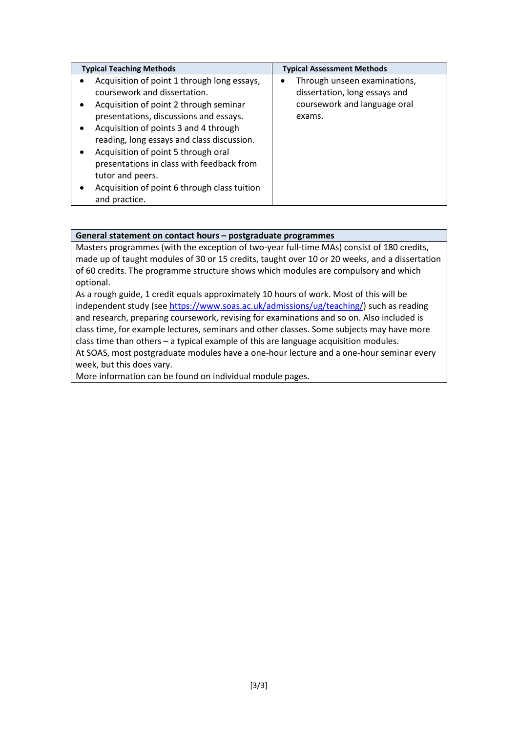| <b>Typical Teaching Methods</b>              | <b>Typical Assessment Methods</b> |
|----------------------------------------------|-----------------------------------|
| Acquisition of point 1 through long essays,  | Through unseen examinations,      |
| coursework and dissertation.                 | dissertation, long essays and     |
| Acquisition of point 2 through seminar<br>٠  | coursework and language oral      |
| presentations, discussions and essays.       | exams.                            |
| Acquisition of points 3 and 4 through        |                                   |
| reading, long essays and class discussion.   |                                   |
| Acquisition of point 5 through oral          |                                   |
| presentations in class with feedback from    |                                   |
| tutor and peers.                             |                                   |
| Acquisition of point 6 through class tuition |                                   |
| and practice.                                |                                   |

#### **General statement on contact hours – postgraduate programmes**

Masters programmes (with the exception of two-year full-time MAs) consist of 180 credits, made up of taught modules of 30 or 15 credits, taught over 10 or 20 weeks, and a dissertation of 60 credits. The programme structure shows which modules are compulsory and which optional.

As a rough guide, 1 credit equals approximately 10 hours of work. Most of this will be independent study (see [https://www.soas.ac.uk/admissions/ug/teaching/\)](https://www.soas.ac.uk/admissions/ug/teaching/) such as reading and research, preparing coursework, revising for examinations and so on. Also included is class time, for example lectures, seminars and other classes. Some subjects may have more class time than others – a typical example of this are language acquisition modules.

At SOAS, most postgraduate modules have a one-hour lecture and a one-hour seminar every week, but this does vary.

More information can be found on individual module pages.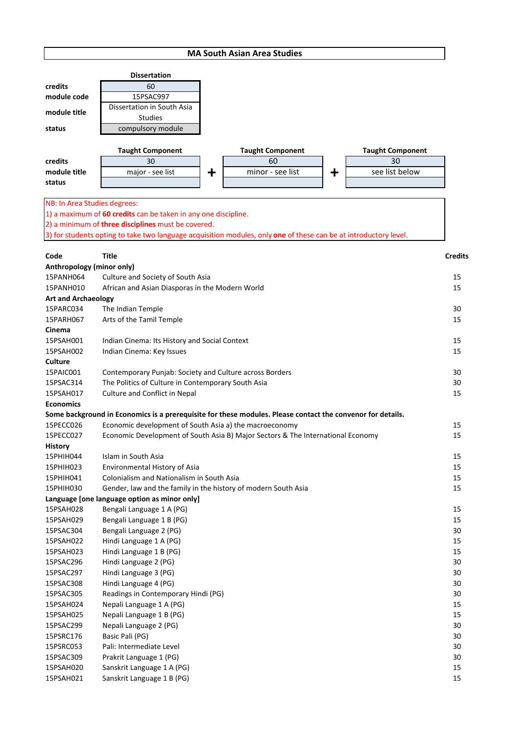## **MA South Asian Area Studies**

| <b>MA South Asian Area Studies</b>                              |                                                                                                                  |         |                               |         |                               |                |
|-----------------------------------------------------------------|------------------------------------------------------------------------------------------------------------------|---------|-------------------------------|---------|-------------------------------|----------------|
|                                                                 | <b>Dissertation</b>                                                                                              |         |                               |         |                               |                |
| credits                                                         | 60                                                                                                               |         |                               |         |                               |                |
| module code                                                     | 15PSAC997                                                                                                        |         |                               |         |                               |                |
|                                                                 | Dissertation in South Asia                                                                                       |         |                               |         |                               |                |
| module title                                                    | <b>Studies</b>                                                                                                   |         |                               |         |                               |                |
| status                                                          | compulsory module                                                                                                |         |                               |         |                               |                |
|                                                                 |                                                                                                                  |         |                               |         |                               |                |
| credits                                                         | <b>Taught Component</b><br>30                                                                                    |         | <b>Taught Component</b><br>60 |         | <b>Taught Component</b><br>30 |                |
| module title                                                    | major - see list                                                                                                 | $\ddag$ | minor - see list              | $\ddag$ | see list below                |                |
| status                                                          |                                                                                                                  |         |                               |         |                               |                |
|                                                                 |                                                                                                                  |         |                               |         |                               |                |
| NB: In Area Studies degrees:                                    |                                                                                                                  |         |                               |         |                               |                |
|                                                                 | 1) a maximum of 60 credits can be taken in any one discipline.                                                   |         |                               |         |                               |                |
|                                                                 | 2) a minimum of three disciplines must be covered.                                                               |         |                               |         |                               |                |
|                                                                 | 3) for students opting to take two language acquisition modules, only one of these can be at introductory level. |         |                               |         |                               |                |
|                                                                 |                                                                                                                  |         |                               |         |                               |                |
| Code                                                            | <b>Title</b>                                                                                                     |         |                               |         |                               | <b>Credits</b> |
| Anthropology (minor only)                                       |                                                                                                                  |         |                               |         |                               |                |
| 15PANH064                                                       | Culture and Society of South Asia                                                                                |         |                               |         |                               | 15             |
| African and Asian Diasporas in the Modern World<br>15PANH010    |                                                                                                                  |         |                               |         |                               | 15             |
| <b>Art and Archaeology</b>                                      |                                                                                                                  |         |                               |         |                               |                |
| 15PARC034                                                       | The Indian Temple                                                                                                |         |                               |         |                               | 30             |
| 15PARH067                                                       | Arts of the Tamil Temple                                                                                         |         |                               |         |                               | 15             |
| Cinema                                                          |                                                                                                                  |         |                               |         |                               |                |
| 15PSAH001                                                       | Indian Cinema: Its History and Social Context                                                                    |         |                               |         |                               | 15             |
| 15PSAH002<br>Indian Cinema: Key Issues                          |                                                                                                                  |         |                               | 15      |                               |                |
| Culture                                                         |                                                                                                                  |         |                               |         |                               |                |
| 15PAIC001                                                       | Contemporary Punjab: Society and Culture across Borders                                                          |         |                               |         |                               | 30             |
| The Politics of Culture in Contemporary South Asia<br>15PSAC314 |                                                                                                                  |         |                               |         | 30                            |                |
| Culture and Conflict in Nepal<br>15PSAH017                      |                                                                                                                  |         |                               |         | 15                            |                |
| <b>Economics</b>                                                |                                                                                                                  |         |                               |         |                               |                |

# **Some background in Economics is a prerequisite for these modules. Please contact the convenor for details.**

| 15PECC026      | Economic development of South Asia a) the macroeconomy                          | 15 |
|----------------|---------------------------------------------------------------------------------|----|
| 15PECC027      | Economic Development of South Asia B) Major Sectors & The International Economy | 15 |
| <b>History</b> |                                                                                 |    |
| 15PHIH044      | Islam in South Asia                                                             | 15 |
| 15PHIH023      | Environmental History of Asia                                                   | 15 |
| 15PHIH041      | Colonialism and Nationalism in South Asia                                       | 15 |
| 15PHIH030      | Gender, law and the family in the history of modern South Asia                  | 15 |
|                | Language [one language option as minor only]                                    |    |
| 15PSAH028      | Bengali Language 1 A (PG)                                                       | 15 |
| 15PSAH029      | Bengali Language 1 B (PG)                                                       | 15 |
| 15PSAC304      | Bengali Language 2 (PG)                                                         | 30 |
| 15PSAH022      | Hindi Language 1 A (PG)                                                         | 15 |
| 15PSAH023      | Hindi Language 1 B (PG)                                                         | 15 |
| 15PSAC296      | Hindi Language 2 (PG)                                                           | 30 |
| 15PSAC297      | Hindi Language 3 (PG)                                                           | 30 |
| 15PSAC308      | Hindi Language 4 (PG)                                                           | 30 |
| 15PSAC305      | Readings in Contemporary Hindi (PG)                                             | 30 |
| 15PSAH024      | Nepali Language 1 A (PG)                                                        | 15 |
| 15PSAH025      | Nepali Language 1 B (PG)                                                        | 15 |
| 15PSAC299      | Nepali Language 2 (PG)                                                          | 30 |
| 15PSRC176      | Basic Pali (PG)                                                                 | 30 |
| 15PSRC053      | Pali: Intermediate Level                                                        | 30 |
| 15PSAC309      | Prakrit Language 1 (PG)                                                         | 30 |
| 15PSAH020      | Sanskrit Language 1 A (PG)                                                      | 15 |
| 15PSAH021      | Sanskrit Language 1 B (PG)                                                      | 15 |
|                |                                                                                 |    |